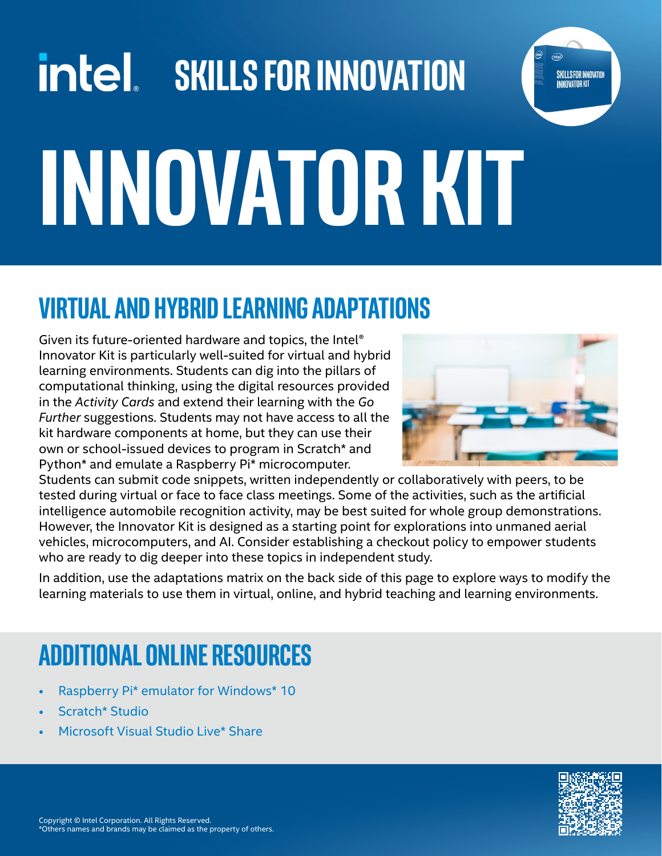# $\left| \right|$  skills for innovation **Innovator Kit**

### **Virtual and hybrid learning adaptations**

Given its future-oriented hardware and topics, the Intel® Innovator Kit is particularly well-suited for virtual and hybrid learning environments. Students can dig into the pillars of computational thinking, using the digital resources provided in the *Activity Cards* and extend their learning with the *Go Further* suggestions. Students may not have access to all the kit hardware components at home, but they can use their own or school-issued devices to program in Scratch\* and Python\* and emulate a Raspberry Pi\* microcomputer.



**SKILLS FOR INNOVATION INNOVATOR KIT** 

Students can submit code snippets, written independently or collaboratively with peers, to be tested during virtual or face to face class meetings. Some of the activities, such as the artificial intelligence automobile recognition activity, may be best suited for whole group demonstrations. However, the Innovator Kit is designed as a starting point for explorations into unmaned aerial vehicles, microcomputers, and AI. Consider establishing a checkout policy to empower students who are ready to dig deeper into these topics in independent study.

In addition, use the adaptations matrix on the back side of this page to explore ways to modify the learning materials to use them in virtual, online, and hybrid teaching and learning environments.

## **additional Online resources**

- [Raspberry Pi\\* emulator for Windows\\* 10](https://www.instructables.com/Raspberry-Pi-Emulator-for-Windows-10/)
- [Scratch\\* Studio](https://en.scratch-wiki.info/wiki/Studio)
- [Microsoft Visual Studio Live\\* Share](https://visualstudio.microsoft.com/services/live-share/)